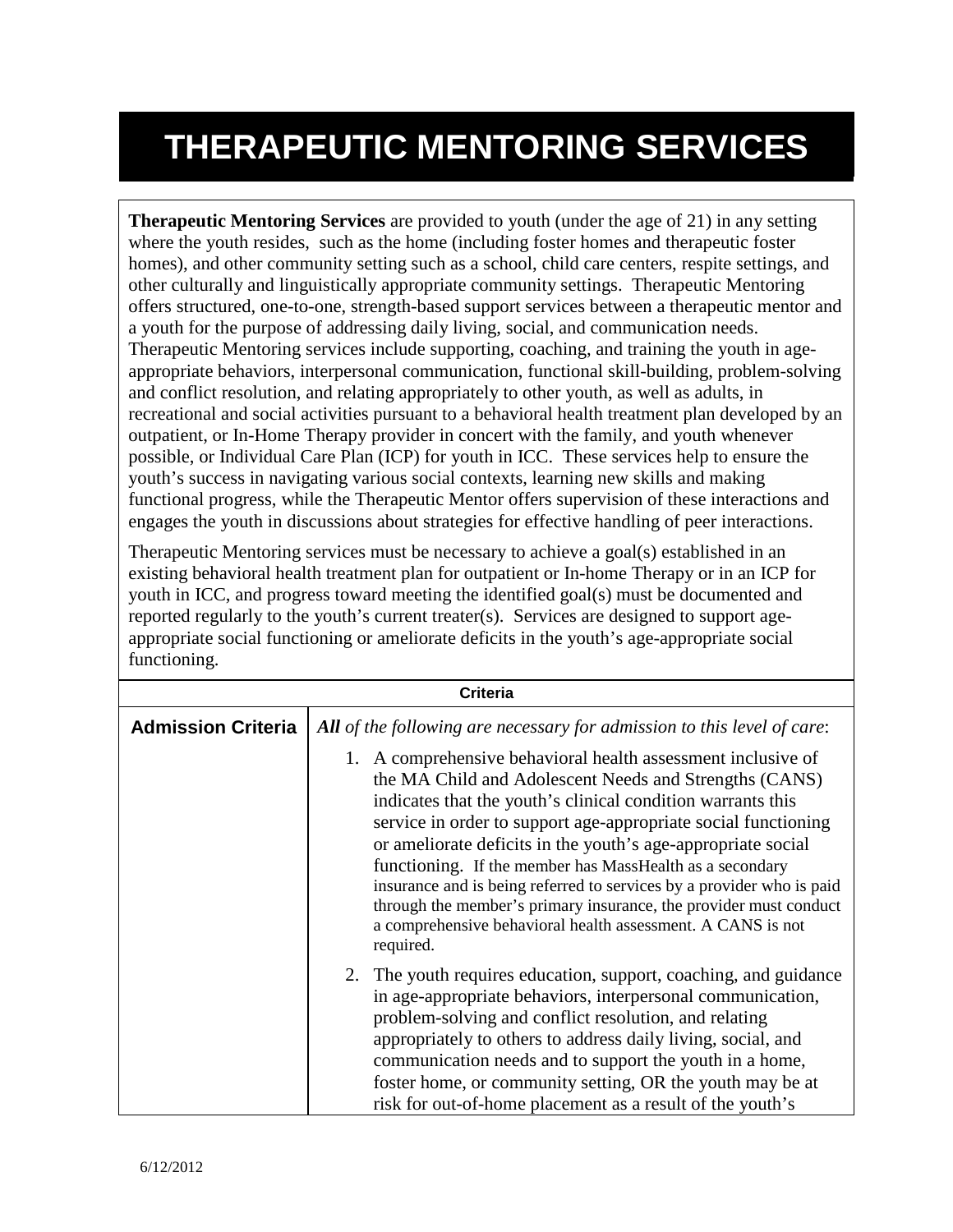## **THERAPEUTIC MENTORING SERVICES**

**Therapeutic Mentoring Services** are provided to youth (under the age of 21) in any setting where the youth resides, such as the home (including foster homes and therapeutic foster homes), and other community setting such as a school, child care centers, respite settings, and other culturally and linguistically appropriate community settings. Therapeutic Mentoring offers structured, one-to-one, strength-based support services between a therapeutic mentor and a youth for the purpose of addressing daily living, social, and communication needs. Therapeutic Mentoring services include supporting, coaching, and training the youth in ageappropriate behaviors, interpersonal communication, functional skill-building, problem-solving and conflict resolution, and relating appropriately to other youth, as well as adults, in recreational and social activities pursuant to a behavioral health treatment plan developed by an outpatient, or In-Home Therapy provider in concert with the family, and youth whenever possible, or Individual Care Plan (ICP) for youth in ICC. These services help to ensure the youth's success in navigating various social contexts, learning new skills and making functional progress, while the Therapeutic Mentor offers supervision of these interactions and engages the youth in discussions about strategies for effective handling of peer interactions.

Therapeutic Mentoring services must be necessary to achieve a goal(s) established in an existing behavioral health treatment plan for outpatient or In-home Therapy or in an ICP for youth in ICC, and progress toward meeting the identified goal(s) must be documented and reported regularly to the youth's current treater(s). Services are designed to support ageappropriate social functioning or ameliorate deficits in the youth's age-appropriate social functioning.

|                           | Criteria                                                                                                                                                                                                                                                                                                                                                                                                                                                                                                                                                                                                      |
|---------------------------|---------------------------------------------------------------------------------------------------------------------------------------------------------------------------------------------------------------------------------------------------------------------------------------------------------------------------------------------------------------------------------------------------------------------------------------------------------------------------------------------------------------------------------------------------------------------------------------------------------------|
| <b>Admission Criteria</b> | All of the following are necessary for admission to this level of care:                                                                                                                                                                                                                                                                                                                                                                                                                                                                                                                                       |
|                           | 1. A comprehensive behavioral health assessment inclusive of<br>the MA Child and Adolescent Needs and Strengths (CANS)<br>indicates that the youth's clinical condition warrants this<br>service in order to support age-appropriate social functioning<br>or ameliorate deficits in the youth's age-appropriate social<br>functioning. If the member has MassHealth as a secondary<br>insurance and is being referred to services by a provider who is paid<br>through the member's primary insurance, the provider must conduct<br>a comprehensive behavioral health assessment. A CANS is not<br>required. |
|                           | 2. The youth requires education, support, coaching, and guidance<br>in age-appropriate behaviors, interpersonal communication,<br>problem-solving and conflict resolution, and relating<br>appropriately to others to address daily living, social, and<br>communication needs and to support the youth in a home,<br>foster home, or community setting, OR the youth may be at<br>risk for out-of-home placement as a result of the youth's                                                                                                                                                                  |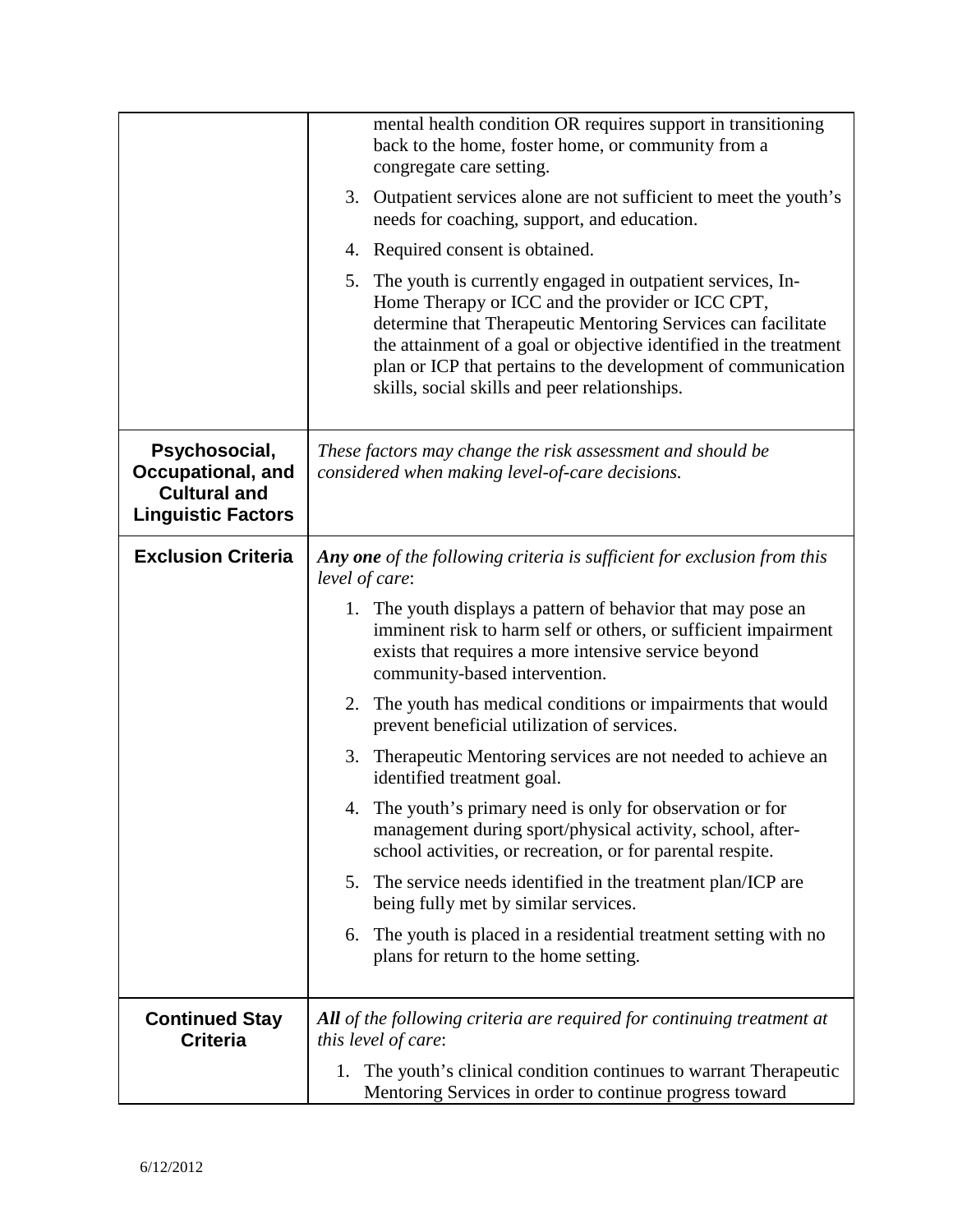|                                                                                        | mental health condition OR requires support in transitioning<br>back to the home, foster home, or community from a<br>congregate care setting.<br>3. Outpatient services alone are not sufficient to meet the youth's                                                                                                                                                    |
|----------------------------------------------------------------------------------------|--------------------------------------------------------------------------------------------------------------------------------------------------------------------------------------------------------------------------------------------------------------------------------------------------------------------------------------------------------------------------|
|                                                                                        | needs for coaching, support, and education.                                                                                                                                                                                                                                                                                                                              |
|                                                                                        | 4. Required consent is obtained.                                                                                                                                                                                                                                                                                                                                         |
|                                                                                        | 5. The youth is currently engaged in outpatient services, In-<br>Home Therapy or ICC and the provider or ICC CPT,<br>determine that Therapeutic Mentoring Services can facilitate<br>the attainment of a goal or objective identified in the treatment<br>plan or ICP that pertains to the development of communication<br>skills, social skills and peer relationships. |
| Psychosocial,<br>Occupational, and<br><b>Cultural and</b><br><b>Linguistic Factors</b> | These factors may change the risk assessment and should be<br>considered when making level-of-care decisions.                                                                                                                                                                                                                                                            |
| <b>Exclusion Criteria</b>                                                              | Any one of the following criteria is sufficient for exclusion from this<br>level of care:                                                                                                                                                                                                                                                                                |
|                                                                                        | 1. The youth displays a pattern of behavior that may pose an<br>imminent risk to harm self or others, or sufficient impairment<br>exists that requires a more intensive service beyond<br>community-based intervention.                                                                                                                                                  |
|                                                                                        | 2. The youth has medical conditions or impairments that would<br>prevent beneficial utilization of services.                                                                                                                                                                                                                                                             |
|                                                                                        | 3. Therapeutic Mentoring services are not needed to achieve an<br>identified treatment goal.                                                                                                                                                                                                                                                                             |
|                                                                                        | The youth's primary need is only for observation or for<br>management during sport/physical activity, school, after-<br>school activities, or recreation, or for parental respite.                                                                                                                                                                                       |
|                                                                                        | The service needs identified in the treatment plan/ICP are<br>5.<br>being fully met by similar services.                                                                                                                                                                                                                                                                 |
|                                                                                        | The youth is placed in a residential treatment setting with no<br>6.<br>plans for return to the home setting.                                                                                                                                                                                                                                                            |
| <b>Continued Stay</b><br><b>Criteria</b>                                               | <b>All</b> of the following criteria are required for continuing treatment at<br>this level of care:                                                                                                                                                                                                                                                                     |
|                                                                                        | The youth's clinical condition continues to warrant Therapeutic<br>1.<br>Mentoring Services in order to continue progress toward                                                                                                                                                                                                                                         |